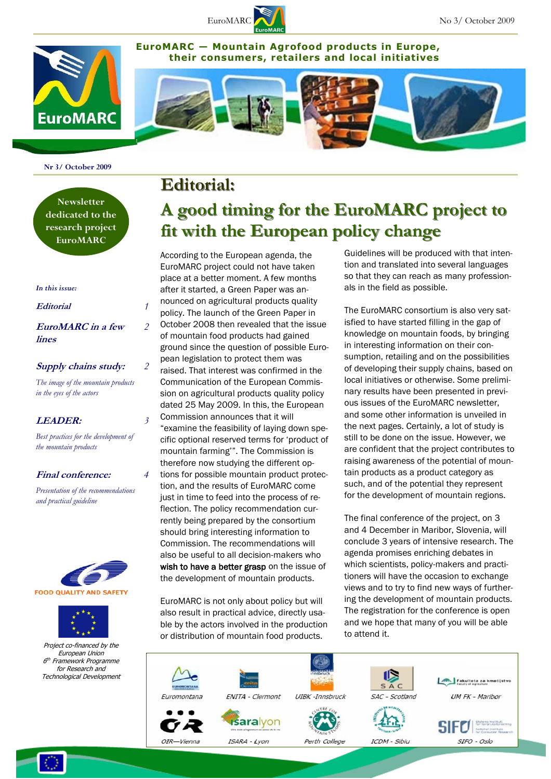

**EuroMARC — Mountain Agrofood products in Europe, their consumers, retailers and local initiatives** 





**Nr 3/ October 2009**

**Newsletter dedicated to the research project EuroMARC**

#### *In this issue:*

#### **Editorial** *1*

**EuroMARC in a few lines**

*2*

*2*

*3*

*4*

#### **Supply chains study:**

*The image of the mountain products in the eyes of the actors* 

#### **LEADER:**

*Best practices for the development of the mountain products*

#### **Final conference:**

*Presentation of the recommendations and practical guideline*





Project co-financed by the European Union 6 <sup>th</sup> Framework Programme for Research and Technological Development

### **Editorial:**

# **A good timing for the EuroMARC project to fit with the European policy change**

According to the European agenda, the EuroMARC project could not have taken place at a better moment. A few months after it started, a Green Paper was announced on agricultural products quality policy. The launch of the Green Paper in October 2008 then revealed that the issue of mountain food products had gained ground since the question of possible European legislation to protect them was raised. That interest was confirmed in the Communication of the European Commission on agricultural products quality policy dated 25 May 2009. In this, the European Commission announces that it will "examine the feasibility of laying down specific optional reserved terms for "product of mountain farming"". The Commission is therefore now studying the different options for possible mountain product protection, and the results of EuroMARC come just in time to feed into the process of reflection. The policy recommendation currently being prepared by the consortium should bring interesting information to Commission. The recommendations will also be useful to all decision-makers who wish to have a better grasp on the issue of the development of mountain products.

EuroMARC is not only about policy but will also result in practical advice, directly usable by the actors involved in the production or distribution of mountain food products.

Guidelines will be produced with that intention and translated into several languages so that they can reach as many professionals in the field as possible.

The EuroMARC consortium is also very satisfied to have started filling in the gap of knowledge on mountain foods, by bringing in interesting information on their consumption, retailing and on the possibilities of developing their supply chains, based on local initiatives or otherwise. Some preliminary results have been presented in previous issues of the EuroMARC newsletter, and some other information is unveiled in the next pages. Certainly, a lot of study is still to be done on the issue. However, we are confident that the project contributes to raising awareness of the potential of mountain products as a product category as such, and of the potential they represent for the development of mountain regions.

The final conference of the project, on 3 and 4 December in Maribor, Slovenia, will conclude 3 years of intensive research. The agenda promises enriching debates in which scientists, policy-makers and practitioners will have the occasion to exchange views and to try to find new ways of furthering the development of mountain products. The registration for the conference is open and we hope that many of you will be able to attend it.





**UM FK - Maribor** 



-0 SIFO - Oslo



ICDM - Sibiu

SAC

Scotland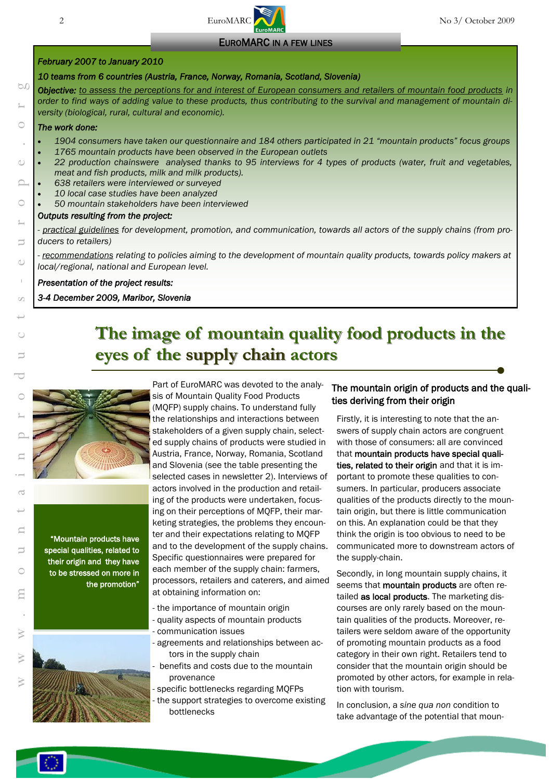# 2 EuroMARC No 3/ October 2009

#### EUROMARC IN A FEW LINES

#### *February 2007 to January 2010*

#### *10 teams from 6 countries (Austria, France, Norway, Romania, Scotland, Slovenia)*

*Objective: to assess the perceptions for and interest of European consumers and retailers of mountain food products in order to find ways of adding value to these products, thus contributing to the survival and management of mountain diversity (biological, rural, cultural and economic).* 

# w w w . m o u n t a i n p r o d u c t s - e u r o p e . o r g *The work done:*

60

C

 $\bigcirc$ 

 $\subset$ 

 $\overline{ }$ 

d)

 $\overline{\phantom{0}}$ 

- *1904 consumers have taken our questionnaire and 184 others participated in 21 "mountain products" focus groups*
- *1765 mountain products have been observed in the European outlets*
- *22 production chainswere analysed thanks to 95 interviews for 4 types of products (water, fruit and vegetables, meat and fish products, milk and milk products).*
- *638 retailers were interviewed or surveyed*
- *10 local case studies have been analyzed*
- *50 mountain stakeholders have been interviewed*

#### *Outputs resulting from the project:*

*- practical guidelines for development, promotion, and communication, towards all actors of the supply chains (from producers to retailers)* 

*- recommendations relating to policies aiming to the development of mountain quality products, towards policy makers at local/regional, national and European level.*

#### *Presentation of the project results:*

#### *3-4 December 2009, Maribor, Slovenia*

# **The image of mountain quality food products in the eyes of the supply chain actors**



"Mountain products have special qualities, related to their origin and they have to be stressed on more in the promotion"



Part of EuroMARC was devoted to the analysis of Mountain Quality Food Products (MQFP) supply chains. To understand fully the relationships and interactions between stakeholders of a given supply chain, selected supply chains of products were studied in Austria, France, Norway, Romania, Scotland and Slovenia (see the table presenting the selected cases in newsletter 2). Interviews of actors involved in the production and retailing of the products were undertaken, focusing on their perceptions of MQFP, their marketing strategies, the problems they encounter and their expectations relating to MQFP and to the development of the supply chains. Specific questionnaires were prepared for each member of the supply chain: farmers, processors, retailers and caterers, and aimed at obtaining information on:

- the importance of mountain origin
- quality aspects of mountain products - communication issues
- agreements and relationships between actors in the supply chain
- benefits and costs due to the mountain provenance

- specific bottlenecks regarding MQFPs - the support strategies to overcome existing bottlenecks

#### The mountain origin of products and the qualities deriving from their origin

Firstly, it is interesting to note that the answers of supply chain actors are congruent with those of consumers: all are convinced that mountain products have special qualities, related to their origin and that it is important to promote these qualities to consumers. In particular, producers associate qualities of the products directly to the mountain origin, but there is little communication on this. An explanation could be that they think the origin is too obvious to need to be communicated more to downstream actors of the supply-chain.

Secondly, in long mountain supply chains, it seems that **mountain products** are often retailed as local products. The marketing discourses are only rarely based on the mountain qualities of the products. Moreover, retailers were seldom aware of the opportunity of promoting mountain products as a food category in their own right. Retailers tend to consider that the mountain origin should be promoted by other actors, for example in relation with tourism.

In conclusion, a *sine qua non* condition to take advantage of the potential that moun-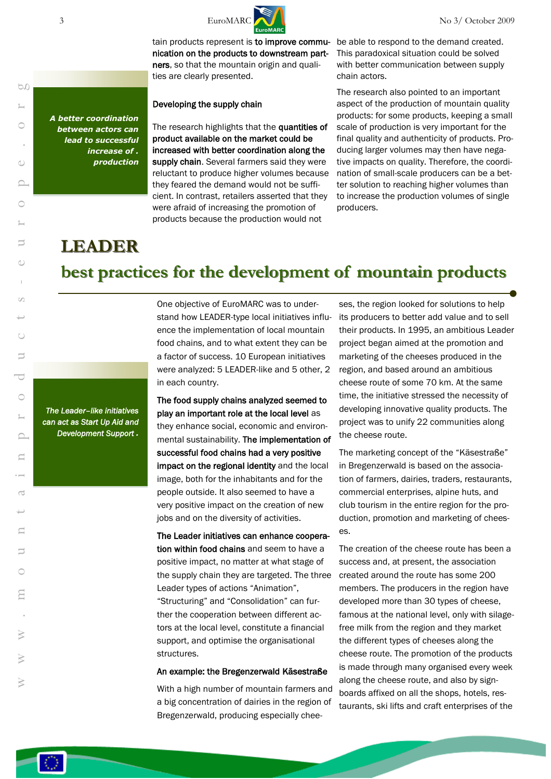

tain products represent is to improve commu- be able to respond to the demand created. nication on the products to downstream partners, so that the mountain origin and qualities are clearly presented.

#### Developing the supply chain

The research highlights that the quantities of product available on the market could be increased with better coordination along the supply chain. Several farmers said they were reluctant to produce higher volumes because they feared the demand would not be sufficient. In contrast, retailers asserted that they were afraid of increasing the promotion of products because the production would not

This paradoxical situation could be solved with better communication between supply chain actors.

The research also pointed to an important aspect of the production of mountain quality products: for some products, keeping a small scale of production is very important for the final quality and authenticity of products. Producing larger volumes may then have negative impacts on quality. Therefore, the coordination of small-scale producers can be a better solution to reaching higher volumes than to increase the production volumes of single producers.

# **LEADER**

*A better coordination between actors can lead to successful increase of . production*

# **best practices for the development of mountain products**

*The Leader–like initiatives can act as Start Up Aid and Development Support .*

One objective of EuroMARC was to understand how LEADER-type local initiatives influence the implementation of local mountain food chains, and to what extent they can be a factor of success. 10 European initiatives were analyzed: 5 LEADER-like and 5 other, 2 in each country.

The food supply chains analyzed seemed to play an important role at the local level as they enhance social, economic and environmental sustainability. The implementation of successful food chains had a very positive impact on the regional identity and the local image, both for the inhabitants and for the people outside. It also seemed to have a very positive impact on the creation of new jobs and on the diversity of activities.

The Leader initiatives can enhance cooperation within food chains and seem to have a positive impact, no matter at what stage of the supply chain they are targeted. The three Leader types of actions "Animation", "Structuring" and "Consolidation" can further the cooperation between different actors at the local level, constitute a financial support, and optimise the organisational structures.

#### An example: the Bregenzerwald Käsestraße

With a high number of mountain farmers and a big concentration of dairies in the region of Bregenzerwald, producing especially chee-

ses, the region looked for solutions to help its producers to better add value and to sell their products. In 1995, an ambitious Leader project began aimed at the promotion and marketing of the cheeses produced in the region, and based around an ambitious cheese route of some 70 km. At the same time, the initiative stressed the necessity of developing innovative quality products. The project was to unify 22 communities along the cheese route.

The marketing concept of the "Käsestraße" in Bregenzerwald is based on the association of farmers, dairies, traders, restaurants, commercial enterprises, alpine huts, and club tourism in the entire region for the production, promotion and marketing of cheeses.

The creation of the cheese route has been a success and, at present, the association created around the route has some 200 members. The producers in the region have developed more than 30 types of cheese, famous at the national level, only with silagefree milk from the region and they market the different types of cheeses along the cheese route. The promotion of the products is made through many organised every week along the cheese route, and also by signboards affixed on all the shops, hotels, restaurants, ski lifts and craft enterprises of the

50

3